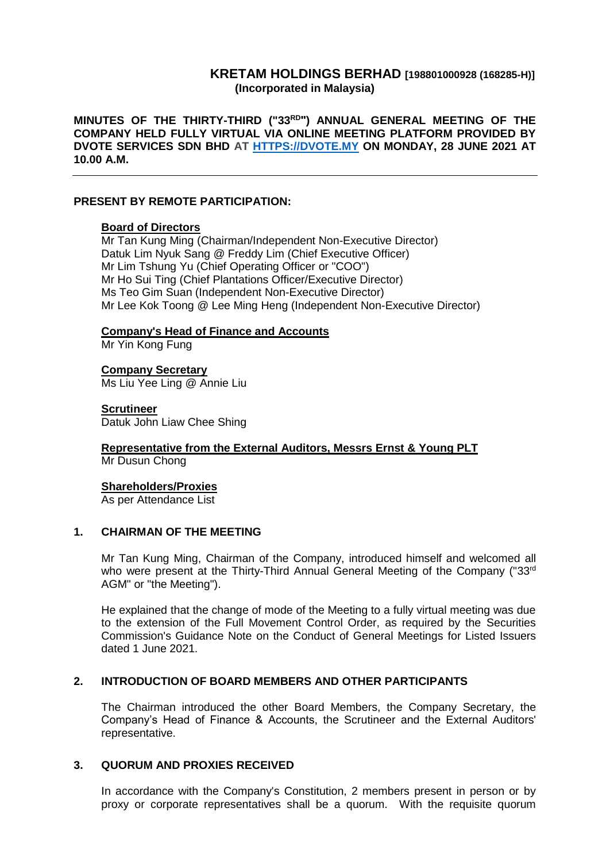## **KRETAM HOLDINGS BERHAD [198801000928 (168285-H)] (Incorporated in Malaysia)**

**MINUTES OF THE THIRTY-THIRD ("33RD ") ANNUAL GENERAL MEETING OF THE COMPANY HELD FULLY VIRTUAL VIA ONLINE MEETING PLATFORM PROVIDED BY DVOTE SERVICES SDN BHD AT [HTTPS://DVOTE.MY](https://dvote.my/) ON MONDAY, 28 JUNE 2021 AT 10.00 A.M.**

### **PRESENT BY REMOTE PARTICIPATION:**

#### **Board of Directors**

Mr Tan Kung Ming (Chairman/Independent Non-Executive Director) Datuk Lim Nyuk Sang @ Freddy Lim (Chief Executive Officer) Mr Lim Tshung Yu (Chief Operating Officer or "COO") Mr Ho Sui Ting (Chief Plantations Officer/Executive Director) Ms Teo Gim Suan (Independent Non-Executive Director) Mr Lee Kok Toong @ Lee Ming Heng (Independent Non-Executive Director)

### **Company's Head of Finance and Accounts**

Mr Yin Kong Fung

**Company Secretary** Ms Liu Yee Ling @ Annie Liu

#### **Scrutineer**

Datuk John Liaw Chee Shing

#### **Representative from the External Auditors, Messrs Ernst & Young PLT** Mr Dusun Chong

### **Shareholders/Proxies**

As per Attendance List

### **1. CHAIRMAN OF THE MEETING**

Mr Tan Kung Ming, Chairman of the Company, introduced himself and welcomed all who were present at the Thirty-Third Annual General Meeting of the Company ("33<sup>rd</sup> AGM" or "the Meeting").

He explained that the change of mode of the Meeting to a fully virtual meeting was due to the extension of the Full Movement Control Order, as required by the Securities Commission's Guidance Note on the Conduct of General Meetings for Listed Issuers dated 1 June 2021.

### **2. INTRODUCTION OF BOARD MEMBERS AND OTHER PARTICIPANTS**

The Chairman introduced the other Board Members, the Company Secretary, the Company's Head of Finance & Accounts, the Scrutineer and the External Auditors' representative.

### **3. QUORUM AND PROXIES RECEIVED**

In accordance with the Company's Constitution, 2 members present in person or by proxy or corporate representatives shall be a quorum. With the requisite quorum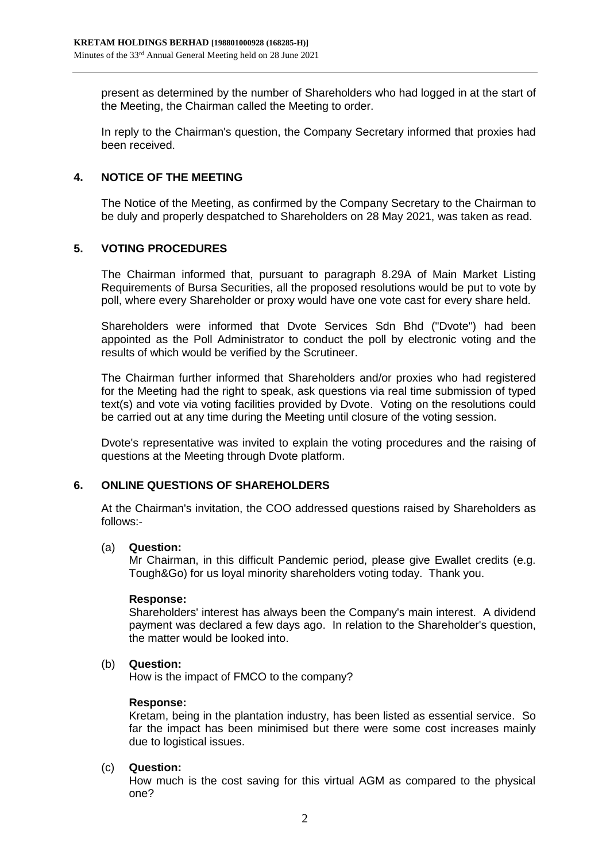present as determined by the number of Shareholders who had logged in at the start of the Meeting, the Chairman called the Meeting to order.

In reply to the Chairman's question, the Company Secretary informed that proxies had been received.

## **4. NOTICE OF THE MEETING**

The Notice of the Meeting, as confirmed by the Company Secretary to the Chairman to be duly and properly despatched to Shareholders on 28 May 2021, was taken as read.

# **5. VOTING PROCEDURES**

The Chairman informed that, pursuant to paragraph 8.29A of Main Market Listing Requirements of Bursa Securities, all the proposed resolutions would be put to vote by poll, where every Shareholder or proxy would have one vote cast for every share held.

Shareholders were informed that Dvote Services Sdn Bhd ("Dvote") had been appointed as the Poll Administrator to conduct the poll by electronic voting and the results of which would be verified by the Scrutineer.

The Chairman further informed that Shareholders and/or proxies who had registered for the Meeting had the right to speak, ask questions via real time submission of typed text(s) and vote via voting facilities provided by Dvote. Voting on the resolutions could be carried out at any time during the Meeting until closure of the voting session.

Dvote's representative was invited to explain the voting procedures and the raising of questions at the Meeting through Dvote platform.

## **6. ONLINE QUESTIONS OF SHAREHOLDERS**

At the Chairman's invitation, the COO addressed questions raised by Shareholders as follows:-

## (a) **Question:**

Mr Chairman, in this difficult Pandemic period, please give Ewallet credits (e.g. Tough&Go) for us loyal minority shareholders voting today. Thank you.

## **Response:**

Shareholders' interest has always been the Company's main interest. A dividend payment was declared a few days ago. In relation to the Shareholder's question, the matter would be looked into.

## (b) **Question:**

How is the impact of FMCO to the company?

## **Response:**

Kretam, being in the plantation industry, has been listed as essential service. So far the impact has been minimised but there were some cost increases mainly due to logistical issues.

## (c) **Question:**

How much is the cost saving for this virtual AGM as compared to the physical one?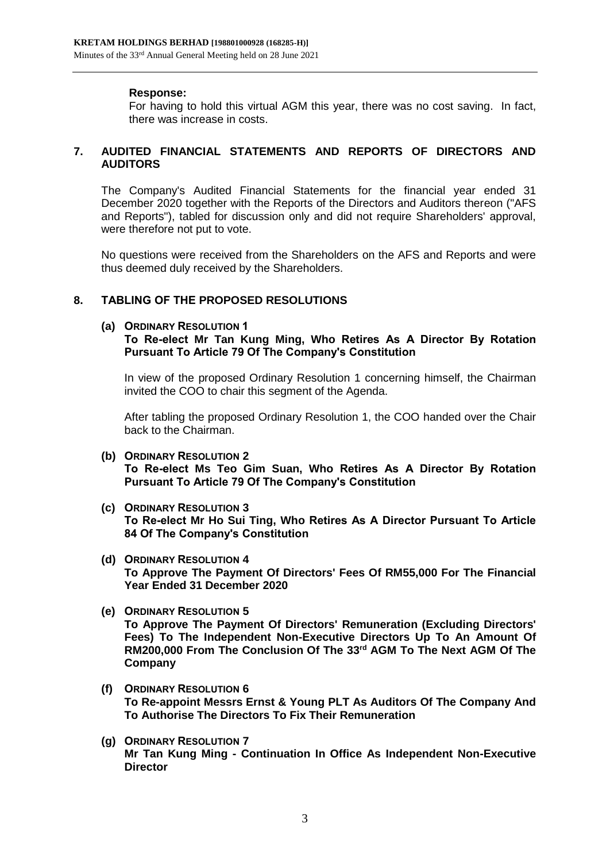### **Response:**

For having to hold this virtual AGM this year, there was no cost saving. In fact, there was increase in costs.

## **7. AUDITED FINANCIAL STATEMENTS AND REPORTS OF DIRECTORS AND AUDITORS**

The Company's Audited Financial Statements for the financial year ended 31 December 2020 together with the Reports of the Directors and Auditors thereon ("AFS and Reports"), tabled for discussion only and did not require Shareholders' approval, were therefore not put to vote.

No questions were received from the Shareholders on the AFS and Reports and were thus deemed duly received by the Shareholders.

# **8. TABLING OF THE PROPOSED RESOLUTIONS**

### **(a) ORDINARY RESOLUTION 1**

### **To Re-elect Mr Tan Kung Ming, Who Retires As A Director By Rotation Pursuant To Article 79 Of The Company's Constitution**

In view of the proposed Ordinary Resolution 1 concerning himself, the Chairman invited the COO to chair this segment of the Agenda.

After tabling the proposed Ordinary Resolution 1, the COO handed over the Chair back to the Chairman.

- **(b) ORDINARY RESOLUTION 2 To Re-elect Ms Teo Gim Suan, Who Retires As A Director By Rotation Pursuant To Article 79 Of The Company's Constitution**
- **(c) ORDINARY RESOLUTION 3 To Re-elect Mr Ho Sui Ting, Who Retires As A Director Pursuant To Article 84 Of The Company's Constitution**
- **(d) ORDINARY RESOLUTION 4 To Approve The Payment Of Directors' Fees Of RM55,000 For The Financial Year Ended 31 December 2020**
- **(e) ORDINARY RESOLUTION 5 To Approve The Payment Of Directors' Remuneration (Excluding Directors' Fees) To The Independent Non-Executive Directors Up To An Amount Of RM200,000 From The Conclusion Of The 33rd AGM To The Next AGM Of The Company**
- **(f) ORDINARY RESOLUTION 6 To Re-appoint Messrs Ernst & Young PLT As Auditors Of The Company And To Authorise The Directors To Fix Their Remuneration**
- **(g) ORDINARY RESOLUTION 7 Mr Tan Kung Ming - Continuation In Office As Independent Non-Executive Director**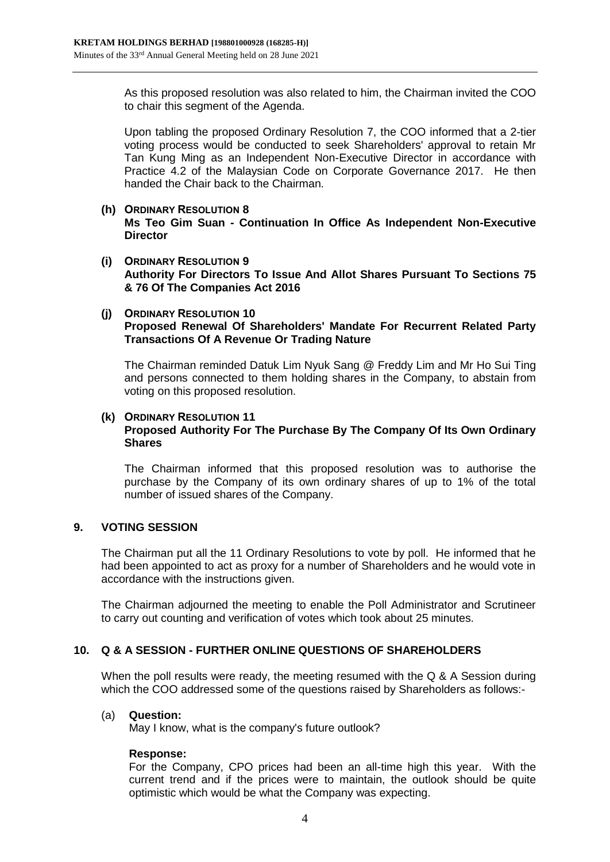As this proposed resolution was also related to him, the Chairman invited the COO to chair this segment of the Agenda.

Upon tabling the proposed Ordinary Resolution 7, the COO informed that a 2-tier voting process would be conducted to seek Shareholders' approval to retain Mr Tan Kung Ming as an Independent Non-Executive Director in accordance with Practice 4.2 of the Malaysian Code on Corporate Governance 2017. He then handed the Chair back to the Chairman.

- **(h) ORDINARY RESOLUTION 8 Ms Teo Gim Suan - Continuation In Office As Independent Non-Executive Director**
- **(i) ORDINARY RESOLUTION 9 Authority For Directors To Issue And Allot Shares Pursuant To Sections 75 & 76 Of The Companies Act 2016**
- **(j) ORDINARY RESOLUTION 10 Proposed Renewal Of Shareholders' Mandate For Recurrent Related Party Transactions Of A Revenue Or Trading Nature**

The Chairman reminded Datuk Lim Nyuk Sang @ Freddy Lim and Mr Ho Sui Ting and persons connected to them holding shares in the Company, to abstain from voting on this proposed resolution.

### **(k) ORDINARY RESOLUTION 11 Proposed Authority For The Purchase By The Company Of Its Own Ordinary Shares**

The Chairman informed that this proposed resolution was to authorise the purchase by the Company of its own ordinary shares of up to 1% of the total number of issued shares of the Company.

## **9. VOTING SESSION**

The Chairman put all the 11 Ordinary Resolutions to vote by poll. He informed that he had been appointed to act as proxy for a number of Shareholders and he would vote in accordance with the instructions given.

The Chairman adjourned the meeting to enable the Poll Administrator and Scrutineer to carry out counting and verification of votes which took about 25 minutes.

## **10. Q & A SESSION - FURTHER ONLINE QUESTIONS OF SHAREHOLDERS**

When the poll results were ready, the meeting resumed with the Q & A Session during which the COO addressed some of the questions raised by Shareholders as follows:-

### (a) **Question:**

May I know, what is the company's future outlook?

### **Response:**

For the Company, CPO prices had been an all-time high this year. With the current trend and if the prices were to maintain, the outlook should be quite optimistic which would be what the Company was expecting.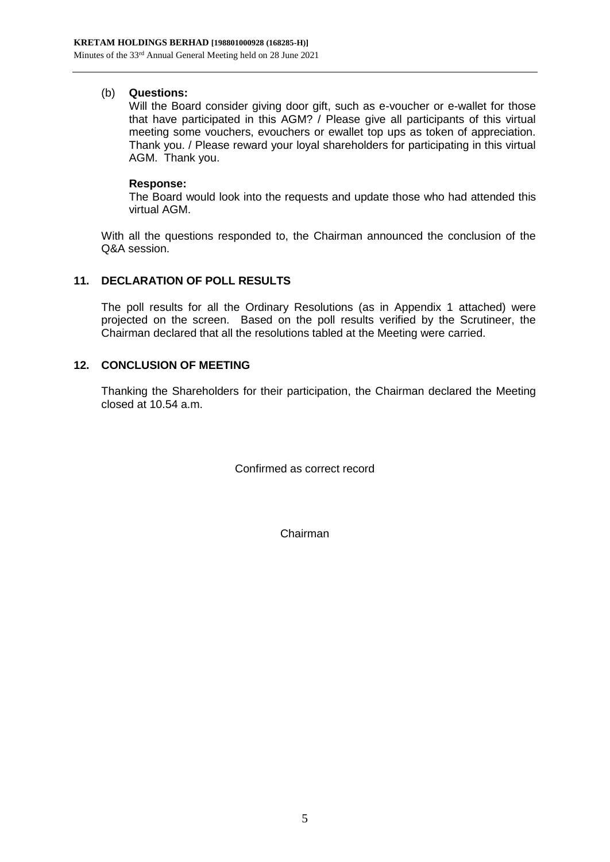## (b) **Questions:**

Will the Board consider giving door gift, such as e-voucher or e-wallet for those that have participated in this AGM? / Please give all participants of this virtual meeting some vouchers, evouchers or ewallet top ups as token of appreciation. Thank you. / Please reward your loyal shareholders for participating in this virtual AGM. Thank you.

### **Response:**

The Board would look into the requests and update those who had attended this virtual AGM.

With all the questions responded to, the Chairman announced the conclusion of the Q&A session.

# **11. DECLARATION OF POLL RESULTS**

The poll results for all the Ordinary Resolutions (as in Appendix 1 attached) were projected on the screen. Based on the poll results verified by the Scrutineer, the Chairman declared that all the resolutions tabled at the Meeting were carried.

## **12. CONCLUSION OF MEETING**

Thanking the Shareholders for their participation, the Chairman declared the Meeting closed at 10.54 a.m.

Confirmed as correct record

Chairman